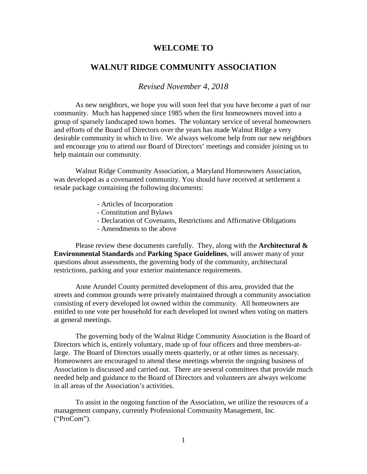### **WELCOME TO**

# **WALNUT RIDGE COMMUNITY ASSOCIATION**

*Revised November 4, 2018*

As new neighbors, we hope you will soon feel that you have become a part of our community. Much has happened since 1985 when the first homeowners moved into a group of sparsely landscaped town homes. The voluntary service of several homeowners and efforts of the Board of Directors over the years has made Walnut Ridge a very desirable community in which to live. We always welcome help from our new neighbors and encourage you to attend our Board of Directors' meetings and consider joining us to help maintain our community.

Walnut Ridge Community Association, a Maryland Homeowners Association, was developed as a covenanted community. You should have received at settlement a resale package containing the following documents:

- Articles of Incorporation
- Constitution and Bylaws
- Declaration of Covenants, Restrictions and Affirmative Obligations
- Amendments to the above

Please review these documents carefully. They, along with the **Architectural & Environmental Standards** and **Parking Space Guidelines**, will answer many of your questions about assessments, the governing body of the community, architectural restrictions, parking and your exterior maintenance requirements.

Anne Arundel County permitted development of this area, provided that the streets and common grounds were privately maintained through a community association consisting of every developed lot owned within the community. All homeowners are entitled to one vote per household for each developed lot owned when voting on matters at general meetings.

The governing body of the Walnut Ridge Community Association is the Board of Directors which is, entirely voluntary, made up of four officers and three members-atlarge. The Board of Directors usually meets quarterly, or at other times as necessary. Homeowners are encouraged to attend these meetings wherein the ongoing business of Association is discussed and carried out. There are several committees that provide much needed help and guidance to the Board of Directors and volunteers are always welcome in all areas of the Association's activities.

To assist in the ongoing function of the Association, we utilize the resources of a management company, currently Professional Community Management, Inc. ("ProCom").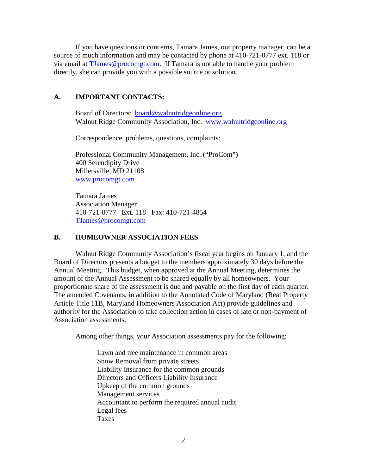If you have questions or concerns, Tamara James, our property manager, can be a source of much information and may be contacted by phone at 410-721-0777 ext. 118 or via email at [TJames@procomgt.com.](mailto:TJames@procomgt.com) If Tamara is not able to handle your problem directly, she can provide you with a possible source or solution.

# **A. IMPORTANT CONTACTS:**

Board of Directors: [board@walnutridgeonline.org](mailto:board@walnutridgeonline.org) Walnut Ridge Community Association, Inc. [www.walnutridgeonline.org](http://www.walnutridgeonline.org/)

Correspondence, problems, questions, complaints:

Professional Community Management, Inc. ("ProCom") 400 Serendipity Drive Millersville, MD 21108 [www.procomgt.com](http://www.procomgt.com/)

Tamara James Association Manager 410-721-0777 Ext. 118 Fax: 410-721-4854 [TJames@procomgt.com](mailto:TJames@procomgt.com)

## **B. HOMEOWNER ASSOCIATION FEES**

Walnut Ridge Community Association's fiscal year begins on January 1, and the Board of Directors presents a budget to the members approximately 30 days before the Annual Meeting. This budget, when approved at the Annual Meeting, determines the amount of the Annual Assessment to be shared equally by all homeowners. Your proportionate share of the assessment is due and payable on the first day of each quarter. The amended Covenants, in addition to the Annotated Code of Maryland (Real Property Article Title 11B, Maryland Homeowners Association Act) provide guidelines and authority for the Association to take collection action in cases of late or non-payment of Association assessments.

Among other things, your Association assessments pay for the following:

Lawn and tree maintenance in common areas Snow Removal from private streets Liability Insurance for the common grounds Directors and Officers Liability Insurance Upkeep of the common grounds Management services Accountant to perform the required annual audit Legal fees Taxes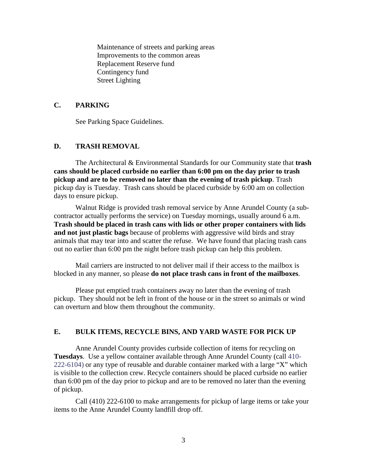Maintenance of streets and parking areas Improvements to the common areas Replacement Reserve fund Contingency fund Street Lighting

### **C. PARKING**

See Parking Space Guidelines.

#### **D. TRASH REMOVAL**

The Architectural & Environmental Standards for our Community state that **trash cans should be placed curbside no earlier than 6:00 pm on the day prior to trash pickup and are to be removed no later than the evening of trash pickup**. Trash pickup day is Tuesday. Trash cans should be placed curbside by 6:00 am on collection days to ensure pickup.

Walnut Ridge is provided trash removal service by Anne Arundel County (a subcontractor actually performs the service) on Tuesday mornings, usually around 6 a.m. **Trash should be placed in trash cans with lids or other proper containers with lids and not just plastic bags** because of problems with aggressive wild birds and stray animals that may tear into and scatter the refuse. We have found that placing trash cans out no earlier than 6:00 pm the night before trash pickup can help this problem.

Mail carriers are instructed to not deliver mail if their access to the mailbox is blocked in any manner, so please **do not place trash cans in front of the mailboxes**.

Please put emptied trash containers away no later than the evening of trash pickup. They should not be left in front of the house or in the street so animals or wind can overturn and blow them throughout the community.

### **E. BULK ITEMS, RECYCLE BINS, AND YARD WASTE FOR PICK UP**

Anne Arundel County provides curbside collection of items for recycling on **Tuesdays**. Use a yellow container available through Anne Arundel County (call 410- 222-6104) or any type of reusable and durable container marked with a large "X" which is visible to the collection crew. Recycle containers should be placed curbside no earlier than 6:00 pm of the day prior to pickup and are to be removed no later than the evening of pickup.

Call (410) 222-6100 to make arrangements for pickup of large items or take your items to the Anne Arundel County landfill drop off.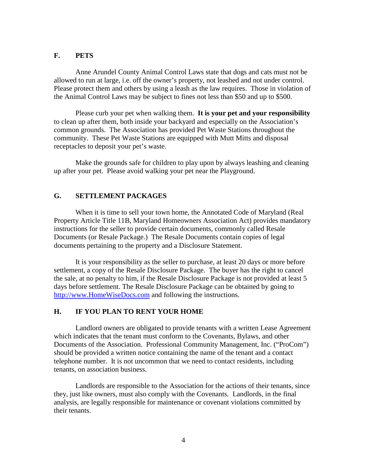#### **F. PETS**

Anne Arundel County Animal Control Laws state that dogs and cats must not be allowed to run at large, i.e. off the owner's property, not leashed and not under control. Please protect them and others by using a leash as the law requires. Those in violation of the Animal Control Laws may be subject to fines not less than \$50 and up to \$500.

Please curb your pet when walking them. **It is your pet and your responsibility** to clean up after them, both inside your backyard and especially on the Association's common grounds. The Association has provided Pet Waste Stations throughout the community. These Pet Waste Stations are equipped with Mutt Mitts and disposal receptacles to deposit your pet's waste.

Make the grounds safe for children to play upon by always leashing and cleaning up after your pet. Please avoid walking your pet near the Playground.

## **G. SETTLEMENT PACKAGES**

When it is time to sell your town home, the Annotated Code of Maryland (Real Property Article Title 11B, Maryland Homeowners Association Act) provides mandatory instructions for the seller to provide certain documents, commonly called Resale Documents (or Resale Package.) The Resale Documents contain copies of legal documents pertaining to the property and a Disclosure Statement.

It is your responsibility as the seller to purchase, at least 20 days or more before settlement, a copy of the Resale Disclosure Package. The buyer has the right to cancel the sale, at no penalty to him, if the Resale Disclosure Package is not provided at least 5 days before settlement. The Resale Disclosure Package can be obtained by going to [http://www.HomeWiseDocs.com](http://www.homewisedocs.com/) and following the instructions.

#### **H. IF YOU PLAN TO RENT YOUR HOME**

Landlord owners are obligated to provide tenants with a written Lease Agreement which indicates that the tenant must conform to the Covenants, Bylaws, and other Documents of the Association. Professional Community Management, Inc. ("ProCom") should be provided a written notice containing the name of the tenant and a contact telephone number. It is not uncommon that we need to contact residents, including tenants, on association business.

Landlords are responsible to the Association for the actions of their tenants, since they, just like owners, must also comply with the Covenants. Landlords, in the final analysis, are legally responsible for maintenance or covenant violations committed by their tenants.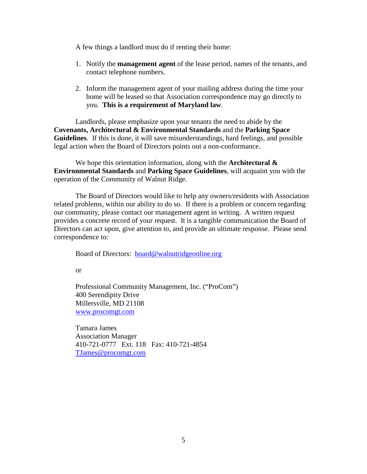A few things a landlord must do if renting their home:

- 1. Notify the **management agent** of the lease period, names of the tenants, and contact telephone numbers.
- 2. Inform the management agent of your mailing address during the time your home will be leased so that Association correspondence may go directly to you. **This is a requirement of Maryland law**.

Landlords, please emphasize upon your tenants the need to abide by the **Covenants, Architectural & Environmental Standards** and the **Parking Space Guidelines**. If this is done, it will save misunderstandings, hard feelings, and possible legal action when the Board of Directors points out a non-conformance.

We hope this orientation information, along with the **Architectural & Environmental Standards** and **Parking Space Guidelines**, will acquaint you with the operation of the Community of Walnut Ridge.

The Board of Directors would like to help any owners/residents with Association related problems, within our ability to do so. If there is a problem or concern regarding our community, please contact our management agent in writing. A written request provides a concrete record of your request. It is a tangible communication the Board of Directors can act upon, give attention to, and provide an ultimate response. Please send correspondence to:

Board of Directors: [board@walnutridgeonline.org](mailto:board@walnutridgeonline.org)

or

Professional Community Management, Inc. ("ProCom") 400 Serendipity Drive Millersville, MD 21108 [www.procomgt.com](http://www.procomgt.com/)

Tamara James Association Manager 410-721-0777 Ext. 118 Fax: 410-721-4854 [TJames@procomgt.com](mailto:TJames@procomgt.com)